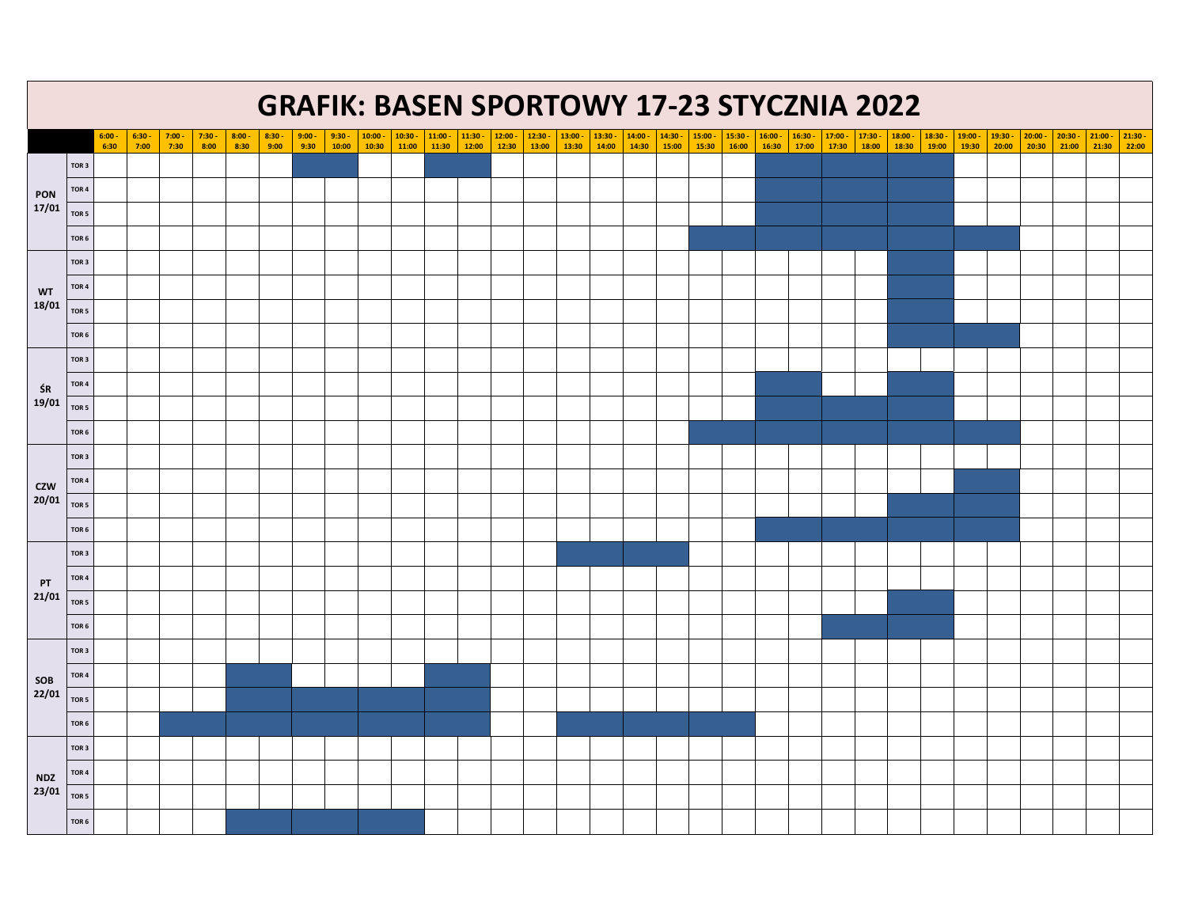